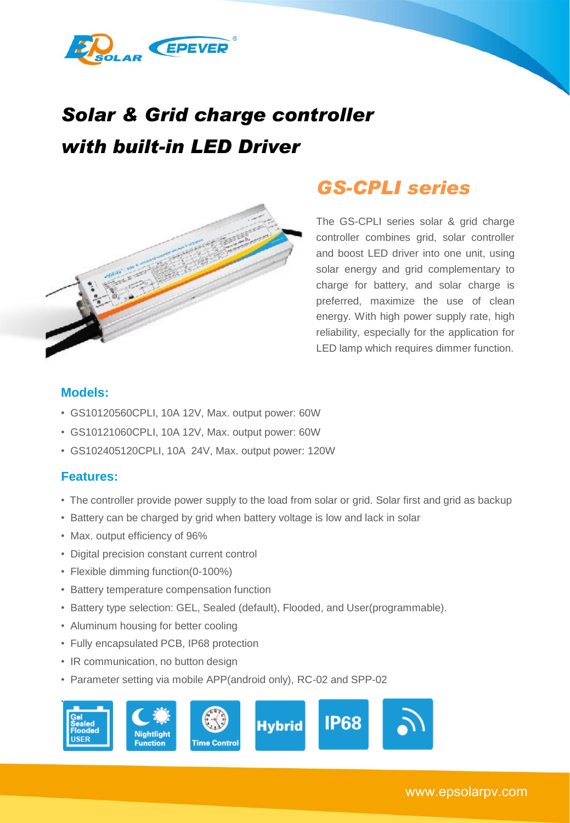

# *Solar & Grid charge controller with built-in LED Driver*



# *GS-CPLI series*

The GS-CPLI series solar & grid charge controller combines grid, solar controller and boost LED driver into one unit, using solar energy and grid complementary to charge for battery, and solar charge is preferred, maximize the use of clean energy. With high power supply rate, high reliability, especially for the application for LED lamp which requires dimmer function.

### **Models:**

- GS10120560CPLI, 10A 12V, Max. output power: 60W
- GS10121060CPLI, 10A 12V, Max. output power: 60W
- GS102405120CPLI, 10A 24V, Max. output power: 120W

#### **Features:**

- The controller provide power supply to the load from solar or grid. Solar first and grid as backup
- Battery can be charged by grid when battery voltage is low and lack in solar
- Max. output efficiency of 96%
- Digital precision constant current control
- Flexible dimming function(0-100%)
- Battery temperature compensation function
- Battery type selection: GEL, Sealed (default), Flooded, and User(programmable).
- Aluminum housing for better cooling
- Fully encapsulated PCB, IP68 protection
- IR communication, no button design
- Parameter setting via mobile APP(android only), RC-02 and SPP-02

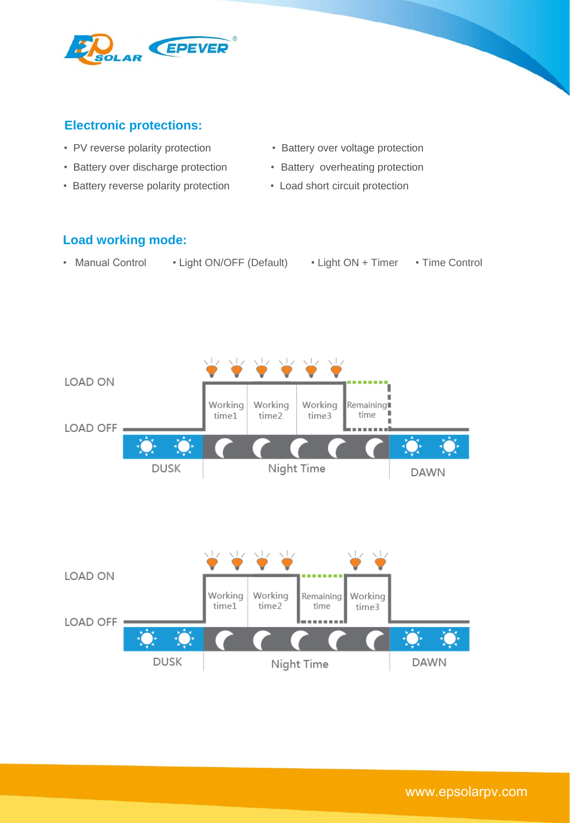

# **Electronic protections:**

- 
- Battery over discharge protection Battery overheating protection
- Battery reverse polarity protection Load short circuit protection
- PV reverse polarity protection Battery over voltage protection
	-
	-

## **Load working mode:**

- Manual Control Light ON/OFF (Default) Light ON + Timer Time Control
- 
- -

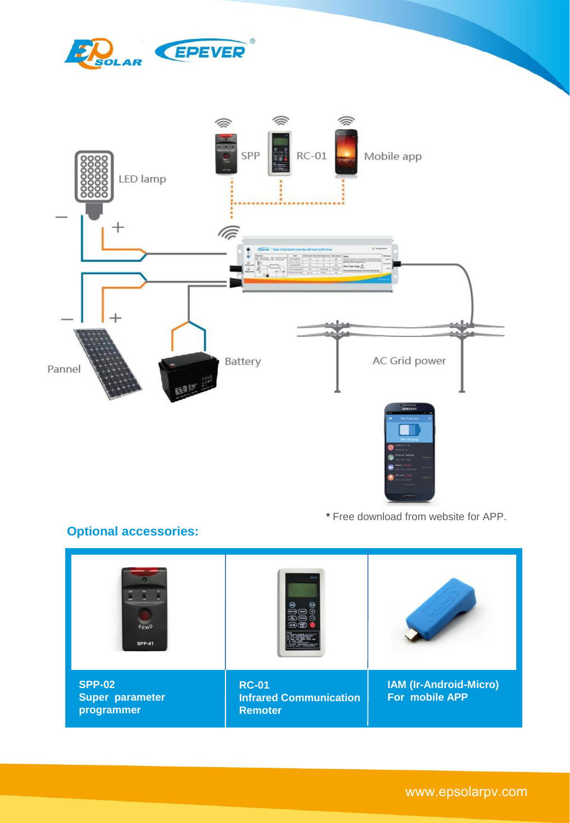



\* Free download from website for APP.

# **Optional accessories:**



3 www.epsolarpv.com